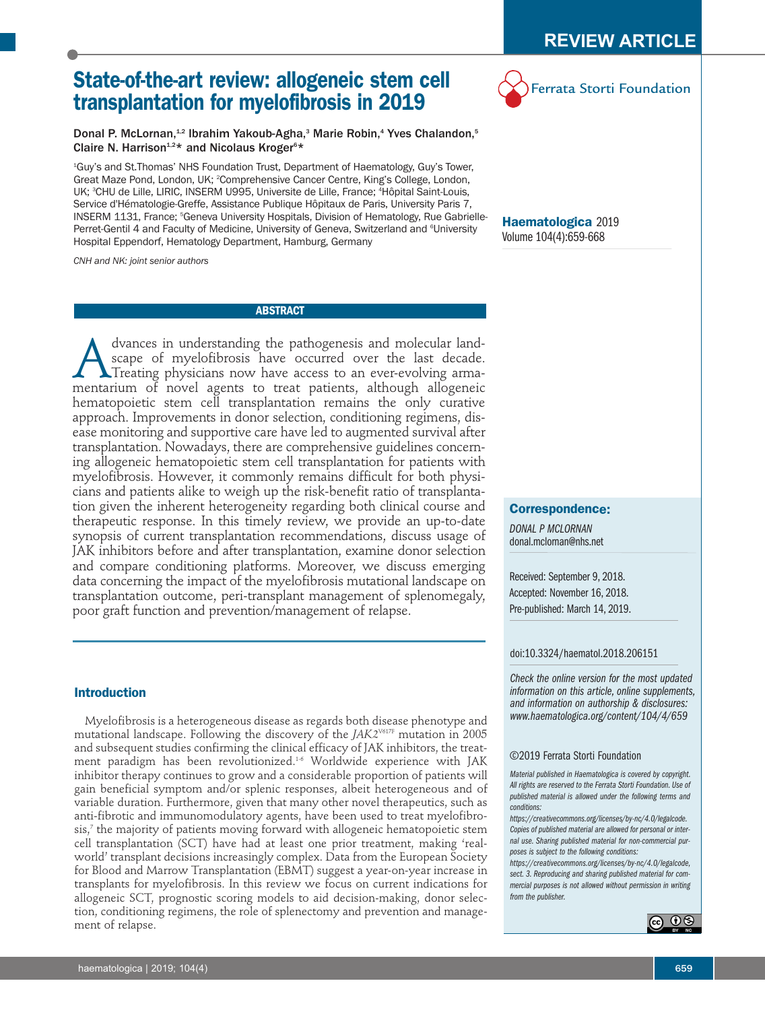# **State-of-the-art review: allogeneic stem cell transplantation for myelofibrosis in 2019**

Donal P. McLornan,<sup>12</sup> Ibrahim Yakoub-Agha,<sup>3</sup> Marie Robin,<sup>4</sup> Yves Chalandon,<sup>5</sup> Claire N. Harrison<sup>1,2\*</sup> and Nicolaus Kroger<sup>6\*</sup>

1 Guy's and St.Thomas' NHS Foundation Trust, Department of Haematology, Guy's Tower, Great Maze Pond, London, UK; <sup>2</sup>Comprehensive Cancer Centre, King's College, London, UK; <sup>s</sup>CHU de Lille, LIRIC, INSERM U995, Universite de Lille, France; <sup>4</sup>Hôpital Saint-Louis, Service d'Hématologie-Greffe, Assistance Publique Hôpitaux de Paris, University Paris 7, INSERM 1131, France; <sup>5</sup>Geneva University Hospitals, Division of Hematology, Rue Gabrielle-Perret-Gentil 4 and Faculty of Medicine, University of Geneva, Switzerland and <sup>6</sup>University Hospital Eppendorf, Hematology Department, Hamburg, Germany

*CNH and NK: joint senior authors*

**ABSTRACT**

Advances in understanding the pathogenesis and molecular landscape of myelofibrosis have occurred over the last decade. Treating physicians now have access to an ever-evolving armamentarium of novel agents to treat patients, although allogeneic hematopoietic stem cell transplantation remains the only curative approach. Improvements in donor selection, conditioning regimens, disease monitoring and supportive care have led to augmented survival after transplantation. Nowadays, there are comprehensive guidelines concerning allogeneic hematopoietic stem cell transplantation for patients with myelofibrosis. However, it commonly remains difficult for both physicians and patients alike to weigh up the risk-benefit ratio of transplantation given the inherent heterogeneity regarding both clinical course and therapeutic response. In this timely review, we provide an up-to-date synopsis of current transplantation recommendations, discuss usage of JAK inhibitors before and after transplantation, examine donor selection and compare conditioning platforms. Moreover, we discuss emerging data concerning the impact of the myelofibrosis mutational landscape on transplantation outcome, peri-transplant management of splenomegaly, poor graft function and prevention/management of relapse.

# **Introduction**

Myelofibrosis is a heterogeneous disease as regards both disease phenotype and mutational landscape. Following the discovery of the *JAK2*V617F mutation in 2005 and subsequent studies confirming the clinical efficacy of JAK inhibitors, the treatment paradigm has been revolutionized.<sup>16</sup> Worldwide experience with JAK inhibitor therapy continues to grow and a considerable proportion of patients will gain beneficial symptom and/or splenic responses, albeit heterogeneous and of variable duration. Furthermore, given that many other novel therapeutics, such as anti-fibrotic and immunomodulatory agents, have been used to treat myelofibrosis,<sup>7</sup> the majority of patients moving forward with allogeneic hematopoietic stem cell transplantation (SCT) have had at least one prior treatment, making 'realworld' transplant decisions increasingly complex. Data from the European Society for Blood and Marrow Transplantation (EBMT) suggest a year-on-year increase in transplants for myelofibrosis. In this review we focus on current indications for allogeneic SCT, prognostic scoring models to aid decision-making, donor selection, conditioning regimens, the role of splenectomy and prevention and management of relapse.



**Haematologica** 2019 Volume 104(4):659-668

## **Correspondence:**

*DONAL P MCLORNAN* donal.mclornan@nhs.net

Received: September 9, 2018. Accepted: November 16, 2018. Pre-published: March 14, 2019.

#### doi:10.3324/haematol.2018.206151

*Check the online version for the most updated information on this article, online supplements, and information on authorship & disclosures: www.haematologica.org/content/104/4/659*

#### ©2019 Ferrata Storti Foundation

*Material published in Haematologica is covered by copyright. All rights are reserved to the Ferrata Storti Foundation. Use of published material is allowed under the following terms and conditions:* 

*https://creativecommons.org/licenses/by-nc/4.0/legalcode. Copies of published material are allowed for personal or internal use. Sharing published material for non-commercial purposes is subject to the following conditions:* 

*https://creativecommons.org/licenses/by-nc/4.0/legalcode, sect. 3. Reproducing and sharing published material for commercial purposes is not allowed without permission in writing from the publisher.*

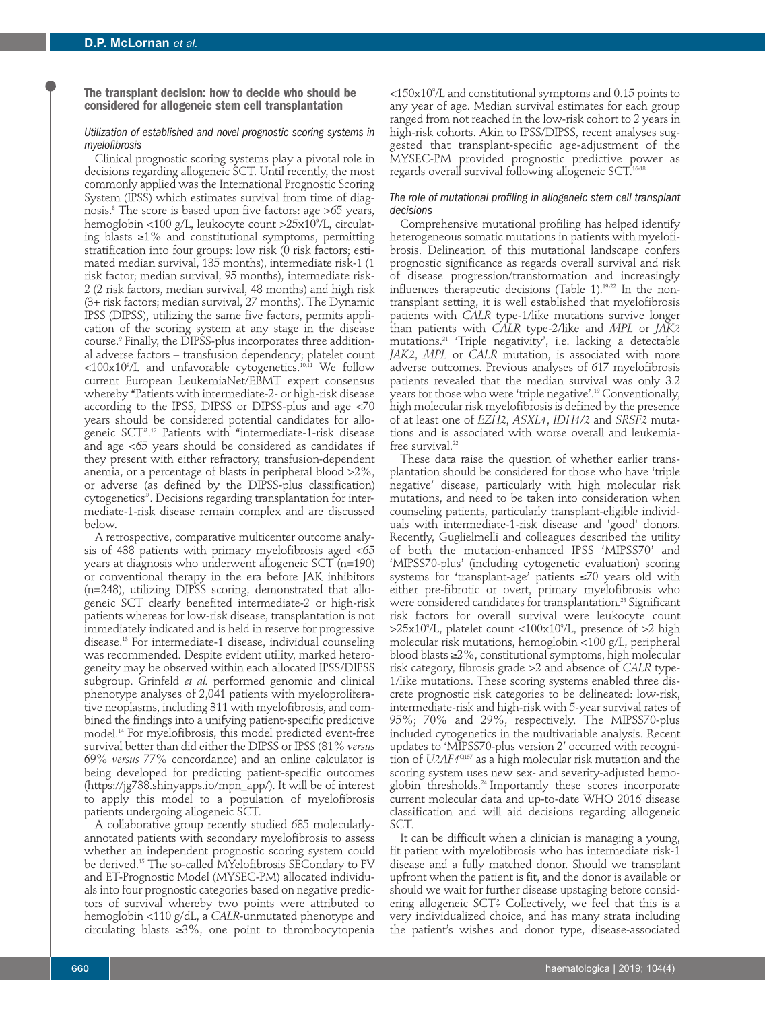**The transplant decision: how to decide who should be considered for allogeneic stem cell transplantation**

#### *Utilization of established and novel prognostic scoring systems in myelofibrosis*

Clinical prognostic scoring systems play a pivotal role in decisions regarding allogeneic SCT. Until recently, the most commonly applied was the International Prognostic Scoring System (IPSS) which estimates survival from time of diagnosis.8 The score is based upon five factors: age >65 years, hemoglobin <100 g/L, leukocyte count >25x10°/L, circulating blasts ≥1% and constitutional symptoms, permitting stratification into four groups: low risk (0 risk factors; estimated median survival, 135 months), intermediate risk-1 (1 risk factor; median survival, 95 months), intermediate risk-2 (2 risk factors, median survival, 48 months) and high risk (3+ risk factors; median survival, 27 months). The Dynamic IPSS (DIPSS), utilizing the same five factors, permits application of the scoring system at any stage in the disease course.9 Finally, the DIPSS-plus incorporates three additional adverse factors – transfusion dependency; platelet count <100x109 /L and unfavorable cytogenetics.10,11 We follow current European LeukemiaNet/EBMT expert consensus whereby "Patients with intermediate-2- or high-risk disease according to the IPSS, DIPSS or DIPSS-plus and age <70 years should be considered potential candidates for allogeneic SCT".12 Patients with "intermediate-1-risk disease and age <65 years should be considered as candidates if they present with either refractory, transfusion-dependent anemia, or a percentage of blasts in peripheral blood >2%, or adverse (as defined by the DIPSS-plus classification) cytogenetics". Decisions regarding transplantation for intermediate-1-risk disease remain complex and are discussed below.

A retrospective, comparative multicenter outcome analysis of 438 patients with primary myelofibrosis aged <65 years at diagnosis who underwent allogeneic SCT (n=190) or conventional therapy in the era before JAK inhibitors (n=248), utilizing DIPSS scoring, demonstrated that allogeneic SCT clearly benefited intermediate-2 or high-risk patients whereas for low-risk disease, transplantation is not immediately indicated and is held in reserve for progressive disease.13 For intermediate-1 disease, individual counseling was recommended. Despite evident utility, marked heterogeneity may be observed within each allocated IPSS/DIPSS subgroup. Grinfeld *et al.* performed genomic and clinical phenotype analyses of 2,041 patients with myeloproliferative neoplasms, including 311 with myelofibrosis, and combined the findings into a unifying patient-specific predictive model.14 For myelofibrosis, this model predicted event-free survival better than did either the DIPSS or IPSS (81% *versus* 69% *versus* 77% concordance) and an online calculator is being developed for predicting patient-specific outcomes (https://jg738.shinyapps.io/mpn\_app/). It will be of interest to apply this model to a population of myelofibrosis patients undergoing allogeneic SCT.

A collaborative group recently studied 685 molecularlyannotated patients with secondary myelofibrosis to assess whether an independent prognostic scoring system could be derived.15 The so-called MYelofibrosis SECondary to PV and ET-Prognostic Model (MYSEC-PM) allocated individuals into four prognostic categories based on negative predictors of survival whereby two points were attributed to hemoglobin <110 g/dL, a *CALR*-unmutated phenotype and circulating blasts ≥3%, one point to thrombocytopenia

 $<$  150x10°/L and constitutional symptoms and 0.15 points to any year of age. Median survival estimates for each group ranged from not reached in the low-risk cohort to 2 years in high-risk cohorts. Akin to IPSS/DIPSS, recent analyses suggested that transplant-specific age-adjustment of the MYSEC-PM provided prognostic predictive power as regards overall survival following allogeneic SCT.16-18

## *The role of mutational profiling in allogeneic stem cell transplant decisions*

Comprehensive mutational profiling has helped identify heterogeneous somatic mutations in patients with myelofibrosis. Delineation of this mutational landscape confers prognostic significance as regards overall survival and risk of disease progression/transformation and increasingly influences therapeutic decisions (Table 1). $19-22}$  In the nontransplant setting, it is well established that myelofibrosis patients with *CALR* type-1/like mutations survive longer than patients with *CALR* type-2/like and *MPL* or *JAK2* mutations.21 'Triple negativity', i.e. lacking a detectable *JAK2*, *MPL* or *CALR* mutation, is associated with more adverse outcomes. Previous analyses of 617 myelofibrosis patients revealed that the median survival was only 3.2 years for those who were 'triple negative'.19 Conventionally, high molecular risk myelofibrosis is defined by the presence of at least one of *EZH2*, *ASXL1*, *IDH1/2* and *SRSF2* mutations and is associated with worse overall and leukemiafree survival.<sup>22</sup>

These data raise the question of whether earlier transplantation should be considered for those who have 'triple negative' disease, particularly with high molecular risk mutations, and need to be taken into consideration when counseling patients, particularly transplant-eligible individuals with intermediate-1-risk disease and 'good' donors. Recently, Guglielmelli and colleagues described the utility of both the mutation-enhanced IPSS 'MIPSS70' and 'MIPSS70-plus' (including cytogenetic evaluation) scoring systems for 'transplant-age' patients ≤70 years old with either pre-fibrotic or overt, primary myelofibrosis who were considered candidates for transplantation.<sup>23</sup> Significant risk factors for overall survival were leukocyte count >25x109 /L, platelet count <100x109 /L, presence of >2 high molecular risk mutations, hemoglobin <100 g/L, peripheral blood blasts ≥2%, constitutional symptoms, high molecular risk category, fibrosis grade >2 and absence of *CALR* type-1/like mutations. These scoring systems enabled three discrete prognostic risk categories to be delineated: low-risk, intermediate-risk and high-risk with 5-year survival rates of 95%; 70% and 29%, respectively. The MIPSS70-plus included cytogenetics in the multivariable analysis. Recent updates to 'MIPSS70-plus version 2' occurred with recognition of *U2AF1<sup>Q157</sup>* as a high molecular risk mutation and the scoring system uses new sex- and severity-adjusted hemoglobin thresholds.24 Importantly these scores incorporate current molecular data and up-to-date WHO 2016 disease classification and will aid decisions regarding allogeneic SCT.

It can be difficult when a clinician is managing a young, fit patient with myelofibrosis who has intermediate risk-1 disease and a fully matched donor. Should we transplant upfront when the patient is fit, and the donor is available or should we wait for further disease upstaging before considering allogeneic SCT? Collectively, we feel that this is a very individualized choice, and has many strata including the patient's wishes and donor type, disease-associated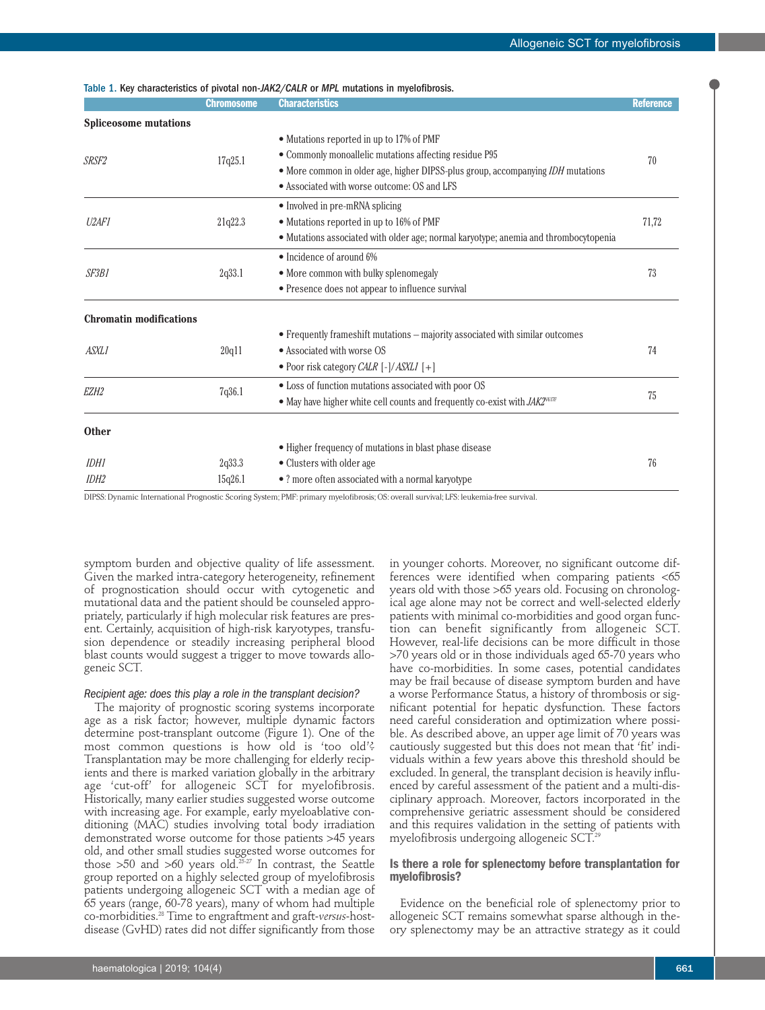|                                | <b>Chromosome</b>                                            | <b>Characteristics</b>                                                                                                                                                                   | <b>Reference</b> |  |  |       |         |                                                                             |  |  |  |
|--------------------------------|--------------------------------------------------------------|------------------------------------------------------------------------------------------------------------------------------------------------------------------------------------------|------------------|--|--|-------|---------|-----------------------------------------------------------------------------|--|--|--|
| <b>Spliceosome mutations</b>   |                                                              |                                                                                                                                                                                          |                  |  |  |       |         |                                                                             |  |  |  |
|                                |                                                              | • Mutations reported in up to 17% of PMF                                                                                                                                                 |                  |  |  |       |         |                                                                             |  |  |  |
| SRSF2                          | 17q25.1                                                      | • Commonly monoallelic mutations affecting residue P95<br>• More common in older age, higher DIPSS-plus group, accompanying IDH mutations<br>• Associated with worse outcome: OS and LFS |                  |  |  |       |         |                                                                             |  |  |  |
|                                |                                                              |                                                                                                                                                                                          |                  |  |  | U2AF1 | 21q22.3 | • Involved in pre-mRNA splicing<br>• Mutations reported in up to 16% of PMF |  |  |  |
|                                |                                                              |                                                                                                                                                                                          |                  |  |  |       |         |                                                                             |  |  |  |
| SF3B1                          | 2q33.1                                                       | $\bullet$ Incidence of around 6%                                                                                                                                                         |                  |  |  |       |         |                                                                             |  |  |  |
|                                |                                                              | • More common with bulky splenomegaly                                                                                                                                                    |                  |  |  |       |         |                                                                             |  |  |  |
|                                |                                                              | • Presence does not appear to influence survival                                                                                                                                         |                  |  |  |       |         |                                                                             |  |  |  |
| <b>Chromatin modifications</b> |                                                              |                                                                                                                                                                                          |                  |  |  |       |         |                                                                             |  |  |  |
|                                |                                                              | • Frequently frameshift mutations - majority associated with similar outcomes                                                                                                            |                  |  |  |       |         |                                                                             |  |  |  |
| ASXL1                          | 20q11                                                        | • Associated with worse OS                                                                                                                                                               |                  |  |  |       |         |                                                                             |  |  |  |
|                                |                                                              | • Poor risk category CALR $[-]/ASXL$ $[+]$                                                                                                                                               |                  |  |  |       |         |                                                                             |  |  |  |
| EZH2                           | 7q36.1                                                       | • Loss of function mutations associated with poor OS                                                                                                                                     |                  |  |  |       |         |                                                                             |  |  |  |
|                                |                                                              | • May have higher white cell counts and frequently co-exist with JAK2 <sup>V617F</sup>                                                                                                   |                  |  |  |       |         |                                                                             |  |  |  |
| <b>Other</b>                   |                                                              |                                                                                                                                                                                          |                  |  |  |       |         |                                                                             |  |  |  |
|                                |                                                              | • Higher frequency of mutations in blast phase disease                                                                                                                                   |                  |  |  |       |         |                                                                             |  |  |  |
| <i>IDH1</i>                    | 2q33.3                                                       | • Clusters with older age                                                                                                                                                                | 76               |  |  |       |         |                                                                             |  |  |  |
| IDH <sub>2</sub>               | 15q26.1<br>• ? more often associated with a normal karyotype |                                                                                                                                                                                          |                  |  |  |       |         |                                                                             |  |  |  |
|                                |                                                              | DIPSS: Dynamic International Prognostic Scoring System: PMF: primary myelofibrosis: OS: overall survival: LFS: leukemia-free survival                                                    |                  |  |  |       |         |                                                                             |  |  |  |

DIPSS: Dynamic International Prognostic Scoring System; PMF: primary myelofibrosis; OS: overall survival; LFS: leukemia-free survival.

symptom burden and objective quality of life assessment. Given the marked intra-category heterogeneity, refinement of prognostication should occur with cytogenetic and mutational data and the patient should be counseled appropriately, particularly if high molecular risk features are present. Certainly, acquisition of high-risk karyotypes, transfusion dependence or steadily increasing peripheral blood blast counts would suggest a trigger to move towards allogeneic SCT.

#### *Recipient age: does this play a role in the transplant decision?*

The majority of prognostic scoring systems incorporate age as a risk factor; however, multiple dynamic factors determine post-transplant outcome (Figure 1). One of the most common questions is how old is 'too old'? Transplantation may be more challenging for elderly recipients and there is marked variation globally in the arbitrary age 'cut-off' for allogeneic SCT for myelofibrosis. Historically, many earlier studies suggested worse outcome with increasing age. For example, early myeloablative conditioning (MAC) studies involving total body irradiation demonstrated worse outcome for those patients >45 years old, and other small studies suggested worse outcomes for those  $>50$  and  $>60$  years old.<sup>25-27</sup> In contrast, the Seattle group reported on a highly selected group of myelofibrosis patients undergoing allogeneic SCT with a median age of 65 years (range, 60-78 years), many of whom had multiple co-morbidities.28 Time to engraftment and graft-*versus*-hostdisease (GvHD) rates did not differ significantly from those

in younger cohorts. Moreover, no significant outcome differences were identified when comparing patients <65 years old with those >65 years old. Focusing on chronological age alone may not be correct and well-selected elderly patients with minimal co-morbidities and good organ function can benefit significantly from allogeneic SCT. However, real-life decisions can be more difficult in those >70 years old or in those individuals aged 65-70 years who have co-morbidities. In some cases, potential candidates may be frail because of disease symptom burden and have a worse Performance Status, a history of thrombosis or significant potential for hepatic dysfunction. These factors need careful consideration and optimization where possible. As described above, an upper age limit of 70 years was cautiously suggested but this does not mean that 'fit' individuals within a few years above this threshold should be excluded. In general, the transplant decision is heavily influenced by careful assessment of the patient and a multi-disciplinary approach. Moreover, factors incorporated in the comprehensive geriatric assessment should be considered and this requires validation in the setting of patients with myelofibrosis undergoing allogeneic SCT.<sup>2</sup>

## **Is there a role for splenectomy before transplantation for myelofibrosis?**

Evidence on the beneficial role of splenectomy prior to allogeneic SCT remains somewhat sparse although in theory splenectomy may be an attractive strategy as it could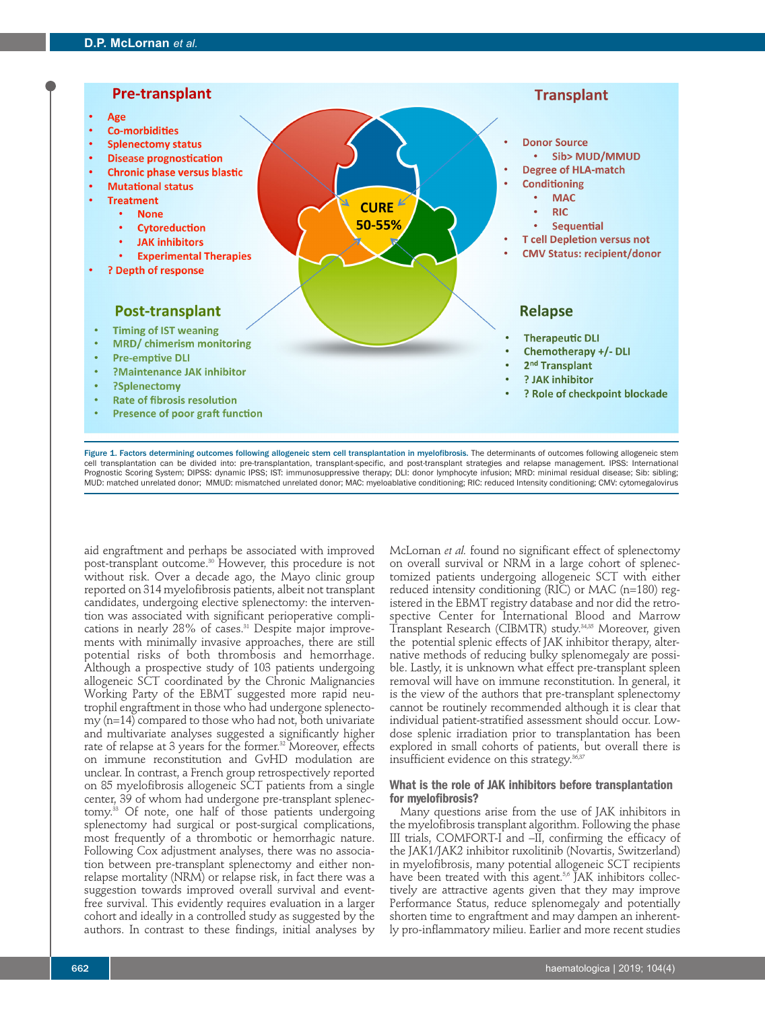

Figure 1. Factors determining outcomes following allogeneic stem cell transplantation in myelofibrosis. The determinants of outcomes following allogeneic stem cell transplantation can be divided into: pre-transplantation, transplant-specific, and post-transplant strategies and relapse management. IPSS: International Prognostic Scoring System; DIPSS: dynamic IPSS; IST: immunosuppressive therapy; DLI: donor lymphocyte infusion; MRD: minimal residual disease; Sib: sibling; MUD: matched unrelated donor; MMUD: mismatched unrelated donor; MAC: myeloablative conditioning; RIC: reduced Intensity conditioning; CMV: cytomegalovirus

aid engraftment and perhaps be associated with improved post-transplant outcome.<sup>30</sup> However, this procedure is not without risk. Over a decade ago, the Mayo clinic group reported on 314 myelofibrosis patients, albeit not transplant candidates, undergoing elective splenectomy: the intervention was associated with significant perioperative complications in nearly 28% of cases.<sup>31</sup> Despite major improvements with minimally invasive approaches, there are still potential risks of both thrombosis and hemorrhage. Although a prospective study of 103 patients undergoing allogeneic SCT coordinated by the Chronic Malignancies Working Party of the EBMT suggested more rapid neutrophil engraftment in those who had undergone splenectomy (n=14) compared to those who had not, both univariate and multivariate analyses suggested a significantly higher rate of relapse at 3 years for the former.<sup>32</sup> Moreover, effects on immune reconstitution and GvHD modulation are unclear. In contrast, a French group retrospectively reported on 85 myelofibrosis allogeneic SCT patients from a single center, 39 of whom had undergone pre-transplant splenectomy.<sup>33</sup> Of note, one half of those patients undergoing splenectomy had surgical or post-surgical complications, most frequently of a thrombotic or hemorrhagic nature. Following Cox adjustment analyses, there was no association between pre-transplant splenectomy and either nonrelapse mortality (NRM) or relapse risk, in fact there was a suggestion towards improved overall survival and eventfree survival. This evidently requires evaluation in a larger cohort and ideally in a controlled study as suggested by the authors. In contrast to these findings, initial analyses by

McLornan *et al.* found no significant effect of splenectomy on overall survival or NRM in a large cohort of splenectomized patients undergoing allogeneic SCT with either reduced intensity conditioning (RIC) or MAC (n=180) registered in the EBMT registry database and nor did the retrospective Center for International Blood and Marrow Transplant Research (CIBMTR) study.34,35 Moreover, given the potential splenic effects of JAK inhibitor therapy, alternative methods of reducing bulky splenomegaly are possible. Lastly, it is unknown what effect pre-transplant spleen removal will have on immune reconstitution. In general, it is the view of the authors that pre-transplant splenectomy cannot be routinely recommended although it is clear that individual patient-stratified assessment should occur. Lowdose splenic irradiation prior to transplantation has been explored in small cohorts of patients, but overall there is insufficient evidence on this strategy.36,37

#### **What is the role of JAK inhibitors before transplantation for myelofibrosis?**

Many questions arise from the use of JAK inhibitors in the myelofibrosis transplant algorithm. Following the phase III trials, COMFORT-I and –II, confirming the efficacy of the JAK1/JAK2 inhibitor ruxolitinib (Novartis, Switzerland) in myelofibrosis, many potential allogeneic SCT recipients have been treated with this agent.<sup>5,6</sup> JAK inhibitors collectively are attractive agents given that they may improve Performance Status, reduce splenomegaly and potentially shorten time to engraftment and may dampen an inherently pro-inflammatory milieu. Earlier and more recent studies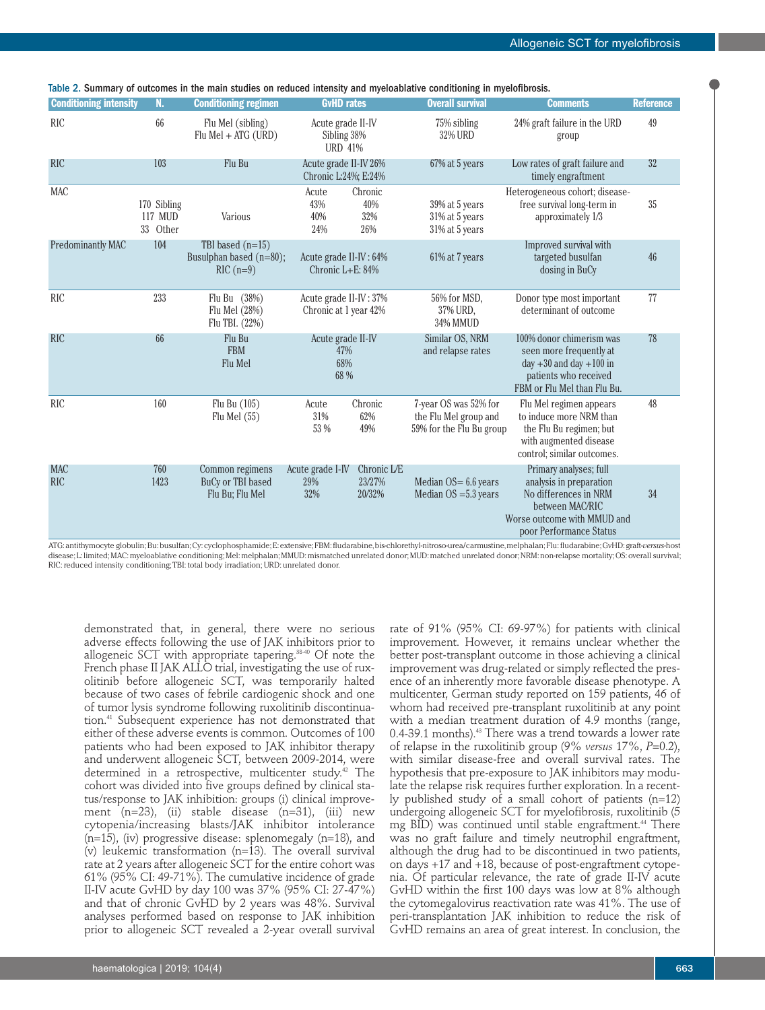| <b>Conditioning intensity</b> | N.                                 | <b>Conditioning regimen</b>                                    | <b>GvHD</b> rates                                  |                                 | <b>Overall survival</b>                                                    | <b>Comments</b>                                                                                                                            | <b>Reference</b> |
|-------------------------------|------------------------------------|----------------------------------------------------------------|----------------------------------------------------|---------------------------------|----------------------------------------------------------------------------|--------------------------------------------------------------------------------------------------------------------------------------------|------------------|
| <b>RIC</b>                    | 66                                 | Flu Mel (sibling)<br>$Flu Mel + ATG (URD)$                     | Acute grade II-IV<br>Sibling 38%<br><b>URD 41%</b> |                                 | 75% sibling<br>32% URD                                                     | 24% graft failure in the URD<br>group                                                                                                      | 49               |
| <b>RIC</b>                    | 103                                | Flu Bu                                                         | Acute grade II-IV 26%<br>Chronic L:24%; E:24%      |                                 | 67% at 5 years                                                             | Low rates of graft failure and<br>timely engraftment                                                                                       | 32               |
| <b>MAC</b>                    | 170 Sibling<br>117 MUD<br>33 Other | Various                                                        | Acute<br>43%<br>40%<br>24%                         | Chronic<br>40%<br>32%<br>26%    | 39% at 5 years<br>31% at 5 years<br>31% at 5 years                         | Heterogeneous cohort; disease-<br>free survival long-term in<br>approximately 1/3                                                          | 35               |
| <b>Predominantly MAC</b>      | 104                                | TBI based $(n=15)$<br>Busulphan based $(n=80)$ ;<br>$RIC(n=9)$ | Acute grade II-IV: 64%<br>Chronic $L+E$ : 84%      |                                 | 61% at 7 years                                                             | Improved survival with<br>targeted busulfan<br>dosing in BuCy                                                                              | 46               |
| <b>RIC</b>                    | 233                                | Flu Bu (38%)<br>Flu Mel (28%)<br>Flu TBI. (22%)                | Acute grade II-IV: 37%<br>Chronic at 1 year 42%    |                                 | 56% for MSD,<br>37% URD,<br>34% MMUD                                       | Donor type most important<br>determinant of outcome                                                                                        | 77               |
| <b>RIC</b>                    | 66                                 | Flu Bu<br><b>FBM</b><br>Flu Mel                                | Acute grade II-IV<br>47%<br>68%<br>68 %            |                                 | Similar OS, NRM<br>and relapse rates                                       | 100% donor chimerism was<br>seen more frequently at<br>day $+30$ and day $+100$ in<br>patients who received<br>FBM or Flu Mel than Flu Bu. | 78               |
| <b>RIC</b>                    | 160                                | Flu Bu (105)<br>Flu Mel $(55)$                                 | Acute<br>31%<br>53 %                               | Chronic<br>62%<br>49%           | 7-year OS was 52% for<br>the Flu Mel group and<br>59% for the Flu Bu group | Flu Mel regimen appears<br>to induce more NRM than<br>the Flu Bu regimen; but<br>with augmented disease<br>control; similar outcomes.      | 48               |
| <b>MAC</b><br><b>RIC</b>      | 760<br>1423                        | Common regimens<br>BuCy or TBI based<br>Flu Bu; Flu Mel        | Acute grade I-IV<br>29%<br>32%                     | Chronic L/E<br>23/27%<br>20/32% | Median $OS = 6.6$ years<br>Median $OS = 5.3$ years                         | Primary analyses; full<br>analysis in preparation<br>No differences in NRM<br>between MAC/RIC<br>Worse outcome with MMUD and               | 34               |
|                               |                                    |                                                                |                                                    |                                 |                                                                            | poor Performance Status                                                                                                                    |                  |

Table 2. Summary of outcomes in the main studies on reduced intensity and myeloablative conditioning in myelofibrosis.

ATG: antithymocyte globulin; Bu: busulfan; Cy: cyclophosphamide; E: extensive; FBM: fludarabine, bis-chlorethyl-nitroso-urea/carmustine, melphalan; Flu: fludarabine; GvHD: graft-*versus*-host disease; L: limited; MAC: myeloablative conditioning; Mel: melphalan; MMUD: mismatched unrelated donor; MUD: matched unrelated donor; NRM: non-relapse mortality; OS: overall survival; RIC: reduced intensity conditioning; TBI: total body irradiation; URD: unrelated donor.

demonstrated that, in general, there were no serious adverse effects following the use of JAK inhibitors prior to allogeneic SCT with appropriate tapering.38-40 Of note the French phase II JAK ALLO trial, investigating the use of ruxolitinib before allogeneic SCT, was temporarily halted because of two cases of febrile cardiogenic shock and one of tumor lysis syndrome following ruxolitinib discontinuation.41 Subsequent experience has not demonstrated that either of these adverse events is common. Outcomes of 100 patients who had been exposed to JAK inhibitor therapy and underwent allogeneic SCT, between 2009-2014, were determined in a retrospective, multicenter study.42 The cohort was divided into five groups defined by clinical status/response to JAK inhibition: groups (i) clinical improvement (n=23), (ii) stable disease (n=31), (iii) new cytopenia/increasing blasts/JAK inhibitor intolerance (n=15), (iv) progressive disease: splenomegaly (n=18), and (v) leukemic transformation (n=13). The overall survival rate at 2 years after allogeneic SCT for the entire cohort was 61% (95% CI: 49-71%). The cumulative incidence of grade II-IV acute GvHD by day 100 was 37% (95% CI: 27-47%) and that of chronic GvHD by 2 years was 48%. Survival analyses performed based on response to JAK inhibition prior to allogeneic SCT revealed a 2-year overall survival

rate of 91% (95% CI: 69-97%) for patients with clinical improvement. However, it remains unclear whether the better post-transplant outcome in those achieving a clinical improvement was drug-related or simply reflected the presence of an inherently more favorable disease phenotype. A multicenter, German study reported on 159 patients, 46 of whom had received pre-transplant ruxolitinib at any point with a median treatment duration of 4.9 months (range, 0.4-39.1 months).<sup>43</sup> There was a trend towards a lower rate of relapse in the ruxolitinib group (9% *versus* 17%, *P*=0.2), with similar disease-free and overall survival rates. The hypothesis that pre-exposure to JAK inhibitors may modulate the relapse risk requires further exploration. In a recently published study of a small cohort of patients (n=12) undergoing allogeneic SCT for myelofibrosis, ruxolitinib (5 mg BID) was continued until stable engraftment.<sup>44</sup> There was no graft failure and timely neutrophil engraftment, although the drug had to be discontinued in two patients, on days +17 and +18, because of post-engraftment cytopenia. Of particular relevance, the rate of grade II-IV acute GvHD within the first 100 days was low at 8% although the cytomegalovirus reactivation rate was 41%. The use of peri-transplantation JAK inhibition to reduce the risk of GvHD remains an area of great interest. In conclusion, the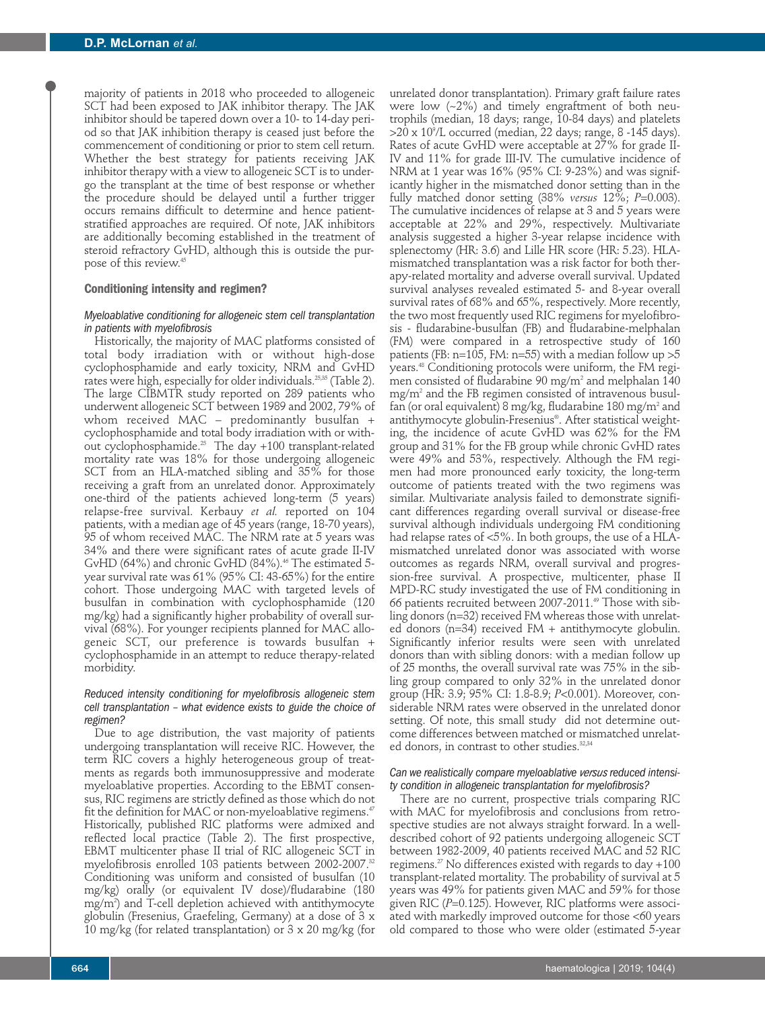majority of patients in 2018 who proceeded to allogeneic SCT had been exposed to JAK inhibitor therapy. The JAK inhibitor should be tapered down over a 10- to 14-day period so that JAK inhibition therapy is ceased just before the commencement of conditioning or prior to stem cell return. Whether the best strategy for patients receiving JAK inhibitor therapy with a view to allogeneic SCT is to undergo the transplant at the time of best response or whether the procedure should be delayed until a further trigger occurs remains difficult to determine and hence patientstratified approaches are required. Of note, JAK inhibitors are additionally becoming established in the treatment of steroid refractory GvHD, although this is outside the purpose of this review.<sup>45</sup>

# **Conditioning intensity and regimen?**

#### *Myeloablative conditioning for allogeneic stem cell transplantation in patients with myelofibrosis*

Historically, the majority of MAC platforms consisted of total body irradiation with or without high-dose cyclophosphamide and early toxicity, NRM and GvHD rates were high, especially for older individuals.25,35 (Table 2). The large CIBMTR study reported on 289 patients who underwent allogeneic SCT between 1989 and 2002, 79% of whom received MAC – predominantly busulfan + cyclophosphamide and total body irradiation with or without cyclophosphamide.<sup>25</sup> The day +100 transplant-related mortality rate was 18% for those undergoing allogeneic SCT from an HLA-matched sibling and 35% for those receiving a graft from an unrelated donor. Approximately one-third of the patients achieved long-term (5 years) relapse-free survival. Kerbauy *et al.* reported on 104 patients, with a median age of 45 years (range, 18-70 years), 95 of whom received MAC. The NRM rate at 5 years was 34% and there were significant rates of acute grade II-IV GvHD (64%) and chronic GvHD (84%).<sup>46</sup> The estimated 5year survival rate was 61% (95% CI: 43-65%) for the entire cohort. Those undergoing MAC with targeted levels of busulfan in combination with cyclophosphamide (120 mg/kg) had a significantly higher probability of overall survival (68%). For younger recipients planned for MAC allogeneic SCT, our preference is towards busulfan + cyclophosphamide in an attempt to reduce therapy-related morbidity.

## *Reduced intensity conditioning for myelofibrosis allogeneic stem cell transplantation – what evidence exists to guide the choice of regimen?*

Due to age distribution, the vast majority of patients undergoing transplantation will receive RIC. However, the term RIC covers a highly heterogeneous group of treatments as regards both immunosuppressive and moderate myeloablative properties. According to the EBMT consensus, RIC regimens are strictly defined as those which do not fit the definition for MAC or non-myeloablative regimens.<sup>47</sup> Historically, published RIC platforms were admixed and reflected local practice (Table 2). The first prospective, EBMT multicenter phase II trial of RIC allogeneic SCT in myelofibrosis enrolled 103 patients between 2002-2007.<sup>32</sup> Conditioning was uniform and consisted of busulfan (10 mg/kg) orally (or equivalent IV dose)/fludarabine (180 mg/m2 ) and T-cell depletion achieved with antithymocyte globulin (Fresenius, Graefeling, Germany) at a dose of 3 x 10 mg/kg (for related transplantation) or 3 x 20 mg/kg (for unrelated donor transplantation). Primary graft failure rates were low  $(-2\%)$  and timely engraftment of both neutrophils (median, 18 days; range, 10-84 days) and platelets >20 x 109 /L occurred (median, 22 days; range, 8 -145 days). Rates of acute GvHD were acceptable at 27% for grade II-IV and 11% for grade III-IV. The cumulative incidence of NRM at 1 year was 16% (95% CI: 9-23%) and was significantly higher in the mismatched donor setting than in the fully matched donor setting (38% *versus* 12%; *P*=0.003). The cumulative incidences of relapse at 3 and 5 years were acceptable at 22% and 29%, respectively. Multivariate analysis suggested a higher 3-year relapse incidence with splenectomy (HR: 3.6) and Lille HR score (HR: 5.23). HLAmismatched transplantation was a risk factor for both therapy-related mortality and adverse overall survival. Updated survival analyses revealed estimated 5- and 8-year overall survival rates of 68% and 65%, respectively. More recently, the two most frequently used RIC regimens for myelofibrosis - fludarabine-busulfan (FB) and fludarabine-melphalan (FM) were compared in a retrospective study of 160 patients (FB: n=105, FM: n=55) with a median follow up >5 years.48 Conditioning protocols were uniform, the FM regimen consisted of fludarabine 90 mg/m<sup>2</sup> and melphalan 140 mg/m2 and the FB regimen consisted of intravenous busulfan (or oral equivalent) 8 mg/kg, fludarabine 180 mg/m<sup>2</sup> and antithymocyte globulin-Fresenius®. After statistical weighting, the incidence of acute GvHD was 62% for the FM group and 31% for the FB group while chronic GvHD rates were 49% and 53%, respectively. Although the FM regimen had more pronounced early toxicity, the long-term outcome of patients treated with the two regimens was similar. Multivariate analysis failed to demonstrate significant differences regarding overall survival or disease-free survival although individuals undergoing FM conditioning had relapse rates of <5%. In both groups, the use of a HLAmismatched unrelated donor was associated with worse outcomes as regards NRM, overall survival and progression-free survival. A prospective, multicenter, phase II MPD-RC study investigated the use of FM conditioning in 66 patients recruited between 2007-2011.49 Those with sibling donors (n=32) received FM whereas those with unrelated donors (n=34) received FM + antithymocyte globulin. Significantly inferior results were seen with unrelated donors than with sibling donors: with a median follow up of 25 months, the overall survival rate was 75% in the sibling group compared to only 32% in the unrelated donor group (HR: 3.9; 95% CI: 1.8-8.9; *P*<0.001). Moreover, considerable NRM rates were observed in the unrelated donor setting. Of note, this small study did not determine outcome differences between matched or mismatched unrelated donors, in contrast to other studies.<sup>32,34</sup>

#### *Can we realistically compare myeloablative versus reduced intensity condition in allogeneic transplantation for myelofibrosis?*

There are no current, prospective trials comparing RIC with MAC for myelofibrosis and conclusions from retrospective studies are not always straight forward. In a welldescribed cohort of 92 patients undergoing allogeneic SCT between 1982-2009, 40 patients received MAC and 52 RIC regimens.<sup>27</sup> No differences existed with regards to day  $+100$ transplant-related mortality. The probability of survival at 5 years was 49% for patients given MAC and 59% for those given RIC (*P*=0.125). However, RIC platforms were associated with markedly improved outcome for those <60 years old compared to those who were older (estimated 5-year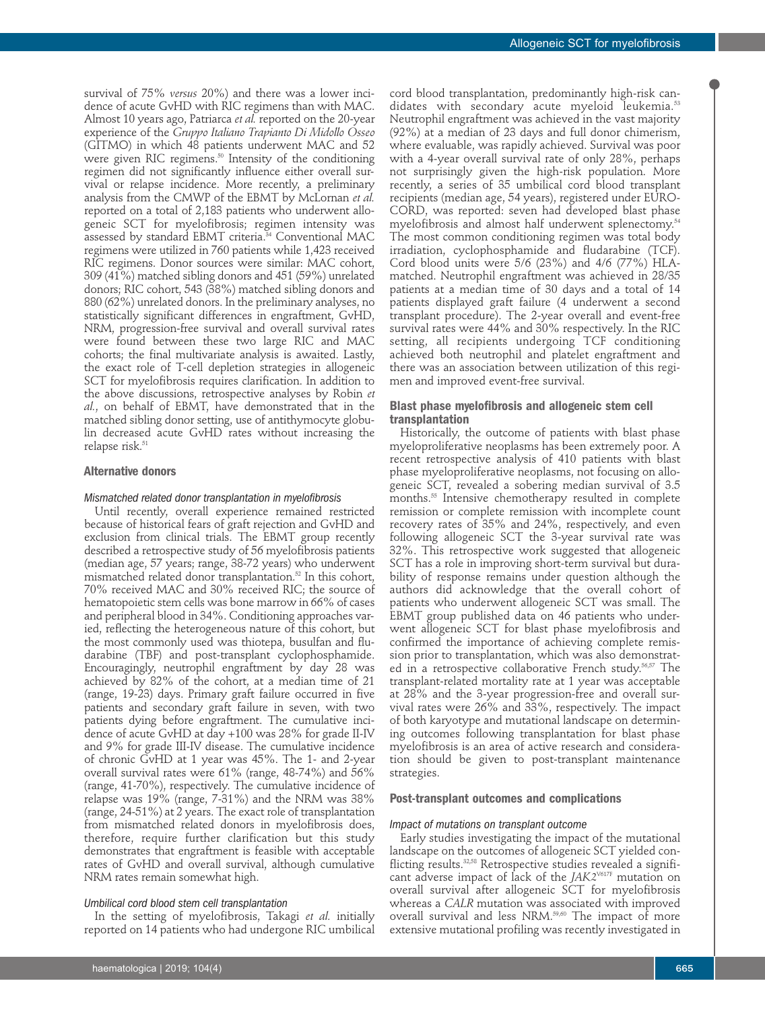survival of 75% *versus* 20%) and there was a lower incidence of acute GvHD with RIC regimens than with MAC. Almost 10 years ago, Patriarca *et al.* reported on the 20-year experience of the *Gruppo Italiano Trapianto Di Midollo Osseo* (GITMO) in which 48 patients underwent MAC and 52 were given RIC regimens.<sup>50</sup> Intensity of the conditioning regimen did not significantly influence either overall survival or relapse incidence. More recently, a preliminary analysis from the CMWP of the EBMT by McLornan *et al.* reported on a total of 2,183 patients who underwent allogeneic SCT for myelofibrosis; regimen intensity was assessed by standard EBMT criteria.<sup>34</sup> Conventional MAC regimens were utilized in 760 patients while 1,423 received RIC regimens. Donor sources were similar: MAC cohort, 309 (41%) matched sibling donors and 451 (59%) unrelated donors; RIC cohort, 543 (38%) matched sibling donors and 880 (62%) unrelated donors. In the preliminary analyses, no statistically significant differences in engraftment, GvHD, NRM, progression-free survival and overall survival rates were found between these two large RIC and MAC cohorts; the final multivariate analysis is awaited. Lastly, the exact role of T-cell depletion strategies in allogeneic SCT for myelofibrosis requires clarification. In addition to the above discussions, retrospective analyses by Robin *et al.*, on behalf of EBMT, have demonstrated that in the matched sibling donor setting, use of antithymocyte globulin decreased acute GvHD rates without increasing the relapse risk.<sup>51</sup>

## **Alternative donors**

#### *Mismatched related donor transplantation in myelofibrosis*

Until recently, overall experience remained restricted because of historical fears of graft rejection and GvHD and exclusion from clinical trials. The EBMT group recently described a retrospective study of 56 myelofibrosis patients (median age, 57 years; range, 38-72 years) who underwent mismatched related donor transplantation.52 In this cohort, 70% received MAC and 30% received RIC; the source of hematopoietic stem cells was bone marrow in 66% of cases and peripheral blood in 34%. Conditioning approaches varied, reflecting the heterogeneous nature of this cohort, but the most commonly used was thiotepa, busulfan and fludarabine (TBF) and post-transplant cyclophosphamide. Encouragingly, neutrophil engraftment by day 28 was achieved by 82% of the cohort, at a median time of 21 (range, 19-23) days. Primary graft failure occurred in five patients and secondary graft failure in seven, with two patients dying before engraftment. The cumulative incidence of acute GvHD at day +100 was 28% for grade II-IV and 9% for grade III-IV disease. The cumulative incidence of chronic GvHD at 1 year was 45%. The 1- and 2-year overall survival rates were 61% (range, 48-74%) and 56% (range, 41-70%), respectively. The cumulative incidence of relapse was 19% (range, 7-31%) and the NRM was 38% (range, 24-51%) at 2 years. The exact role of transplantation from mismatched related donors in myelofibrosis does, therefore, require further clarification but this study demonstrates that engraftment is feasible with acceptable rates of GvHD and overall survival, although cumulative NRM rates remain somewhat high.

# *Umbilical cord blood stem cell transplantation*

In the setting of myelofibrosis, Takagi *et al.* initially reported on 14 patients who had undergone RIC umbilical cord blood transplantation, predominantly high-risk candidates with secondary acute myeloid leukemia.<sup>53</sup> Neutrophil engraftment was achieved in the vast majority (92%) at a median of 23 days and full donor chimerism, where evaluable, was rapidly achieved. Survival was poor with a 4-year overall survival rate of only 28%, perhaps not surprisingly given the high-risk population. More recently, a series of 35 umbilical cord blood transplant recipients (median age, 54 years), registered under EURO-CORD, was reported: seven had developed blast phase myelofibrosis and almost half underwent splenectomy.54 The most common conditioning regimen was total body irradiation, cyclophosphamide and fludarabine (TCF). Cord blood units were 5/6 (23%) and 4/6 (77%) HLAmatched. Neutrophil engraftment was achieved in 28/35 patients at a median time of 30 days and a total of 14 patients displayed graft failure (4 underwent a second transplant procedure). The 2-year overall and event-free survival rates were 44% and 30% respectively. In the RIC setting, all recipients undergoing TCF conditioning achieved both neutrophil and platelet engraftment and there was an association between utilization of this regimen and improved event-free survival.

#### **Blast phase myelofibrosis and allogeneic stem cell transplantation**

Historically, the outcome of patients with blast phase myeloproliferative neoplasms has been extremely poor. A recent retrospective analysis of 410 patients with blast phase myeloproliferative neoplasms, not focusing on allogeneic SCT, revealed a sobering median survival of 3.5 months.55 Intensive chemotherapy resulted in complete remission or complete remission with incomplete count recovery rates of 35% and 24%, respectively, and even following allogeneic SCT the 3-year survival rate was 32%. This retrospective work suggested that allogeneic SCT has a role in improving short-term survival but durability of response remains under question although the authors did acknowledge that the overall cohort of patients who underwent allogeneic SCT was small. The EBMT group published data on 46 patients who underwent allogeneic SCT for blast phase myelofibrosis and confirmed the importance of achieving complete remission prior to transplantation, which was also demonstrated in a retrospective collaborative French study.<sup>56,57</sup> The transplant-related mortality rate at 1 year was acceptable at 28% and the 3-year progression-free and overall survival rates were 26% and 33%, respectively. The impact of both karyotype and mutational landscape on determining outcomes following transplantation for blast phase myelofibrosis is an area of active research and consideration should be given to post-transplant maintenance strategies.

## **Post-transplant outcomes and complications**

#### *Impact of mutations on transplant outcome*

Early studies investigating the impact of the mutational landscape on the outcomes of allogeneic SCT yielded conflicting results.<sup>32,58</sup> Retrospective studies revealed a significant adverse impact of lack of the *JAK2*V617F mutation on overall survival after allogeneic SCT for myelofibrosis whereas a *CALR* mutation was associated with improved overall survival and less NRM.59,60 The impact of more extensive mutational profiling was recently investigated in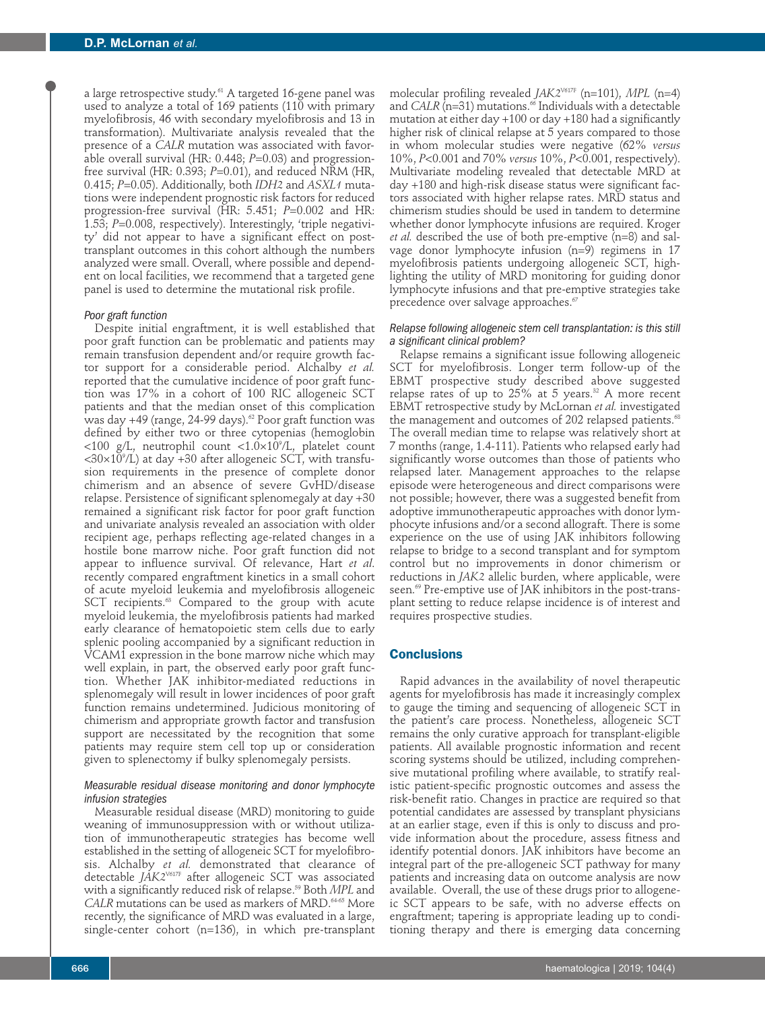a large retrospective study.<sup>61</sup> A targeted 16-gene panel was used to analyze a total of 169 patients (110 with primary myelofibrosis, 46 with secondary myelofibrosis and 13 in transformation). Multivariate analysis revealed that the presence of a *CALR* mutation was associated with favorable overall survival (HR: 0.448; *P*=0.03) and progressionfree survival (HR: 0.393; *P*=0.01), and reduced NRM (HR, 0.415; *P*=0.05). Additionally, both *IDH2* and *ASXL1* mutations were independent prognostic risk factors for reduced progression-free survival (HR: 5.451; *P*=0.002 and HR: 1.53; *P*=0.008, respectively). Interestingly, 'triple negativity' did not appear to have a significant effect on posttransplant outcomes in this cohort although the numbers analyzed were small. Overall, where possible and dependent on local facilities, we recommend that a targeted gene panel is used to determine the mutational risk profile.

#### *Poor graft function*

Despite initial engraftment, it is well established that poor graft function can be problematic and patients may remain transfusion dependent and/or require growth factor support for a considerable period. Alchalby *et al.* reported that the cumulative incidence of poor graft function was 17% in a cohort of 100 RIC allogeneic SCT patients and that the median onset of this complication was day  $+49$  (range, 24-99 days).<sup>62</sup> Poor graft function was defined by either two or three cytopenias (hemoglobin <100 g/L, neutrophil count <1.0×109 /L, platelet count <30×109 /L) at day +30 after allogeneic SCT, with transfusion requirements in the presence of complete donor chimerism and an absence of severe GvHD/disease relapse. Persistence of significant splenomegaly at day +30 remained a significant risk factor for poor graft function and univariate analysis revealed an association with older recipient age, perhaps reflecting age-related changes in a hostile bone marrow niche. Poor graft function did not appear to influence survival. Of relevance, Hart *et al*. recently compared engraftment kinetics in a small cohort of acute myeloid leukemia and myelofibrosis allogeneic SCT recipients.<sup>63</sup> Compared to the group with acute myeloid leukemia, the myelofibrosis patients had marked early clearance of hematopoietic stem cells due to early splenic pooling accompanied by a significant reduction in VCAM1 expression in the bone marrow niche which may well explain, in part, the observed early poor graft function. Whether JAK inhibitor-mediated reductions in splenomegaly will result in lower incidences of poor graft function remains undetermined. Judicious monitoring of chimerism and appropriate growth factor and transfusion support are necessitated by the recognition that some patients may require stem cell top up or consideration given to splenectomy if bulky splenomegaly persists.

#### *Measurable residual disease monitoring and donor lymphocyte infusion strategies*

Measurable residual disease (MRD) monitoring to guide weaning of immunosuppression with or without utilization of immunotherapeutic strategies has become well established in the setting of allogeneic SCT for myelofibrosis. Alchalby *et al.* demonstrated that clearance of detectable *JAK2*V617F after allogeneic SCT was associated with a significantly reduced risk of relapse.<sup>59</sup> Both *MPL* and *CALR* mutations can be used as markers of MRD.64-65 More recently, the significance of MRD was evaluated in a large, single-center cohort (n=136), in which pre-transplant molecular profiling revealed *JAK2*V617F (n=101), *MPL* (n=4) and *CALR* (n=31) mutations.<sup>66</sup> Individuals with a detectable mutation at either day +100 or day +180 had a significantly higher risk of clinical relapse at 5 years compared to those in whom molecular studies were negative (62% *versus* 10%, *P*<0.001 and 70% *versus* 10%, *P*<0.001, respectively). Multivariate modeling revealed that detectable MRD at day +180 and high-risk disease status were significant factors associated with higher relapse rates. MRD status and chimerism studies should be used in tandem to determine whether donor lymphocyte infusions are required. Kroger *et al.* described the use of both pre-emptive (n=8) and salvage donor lymphocyte infusion (n=9) regimens in 17 myelofibrosis patients undergoing allogeneic SCT, highlighting the utility of MRD monitoring for guiding donor lymphocyte infusions and that pre-emptive strategies take precedence over salvage approaches.<sup>6</sup>

#### *Relapse following allogeneic stem cell transplantation: is this still a significant clinical problem?*

Relapse remains a significant issue following allogeneic SCT for myelofibrosis. Longer term follow-up of the EBMT prospective study described above suggested relapse rates of up to  $25\%$  at 5 years.<sup>32</sup> A more recent EBMT retrospective study by McLornan *et al.* investigated the management and outcomes of 202 relapsed patients.<sup>68</sup> The overall median time to relapse was relatively short at 7 months (range, 1.4-111). Patients who relapsed early had significantly worse outcomes than those of patients who relapsed later. Management approaches to the relapse episode were heterogeneous and direct comparisons were not possible; however, there was a suggested benefit from adoptive immunotherapeutic approaches with donor lymphocyte infusions and/or a second allograft. There is some experience on the use of using JAK inhibitors following relapse to bridge to a second transplant and for symptom control but no improvements in donor chimerism or reductions in *JAK2* allelic burden, where applicable, were seen.<sup>69</sup> Pre-emptive use of JAK inhibitors in the post-transplant setting to reduce relapse incidence is of interest and requires prospective studies.

# **Conclusions**

Rapid advances in the availability of novel therapeutic agents for myelofibrosis has made it increasingly complex to gauge the timing and sequencing of allogeneic SCT in the patient's care process. Nonetheless, allogeneic SCT remains the only curative approach for transplant-eligible patients. All available prognostic information and recent scoring systems should be utilized, including comprehensive mutational profiling where available, to stratify realistic patient-specific prognostic outcomes and assess the risk-benefit ratio. Changes in practice are required so that potential candidates are assessed by transplant physicians at an earlier stage, even if this is only to discuss and provide information about the procedure, assess fitness and identify potential donors. JAK inhibitors have become an integral part of the pre-allogeneic SCT pathway for many patients and increasing data on outcome analysis are now available. Overall, the use of these drugs prior to allogeneic SCT appears to be safe, with no adverse effects on engraftment; tapering is appropriate leading up to conditioning therapy and there is emerging data concerning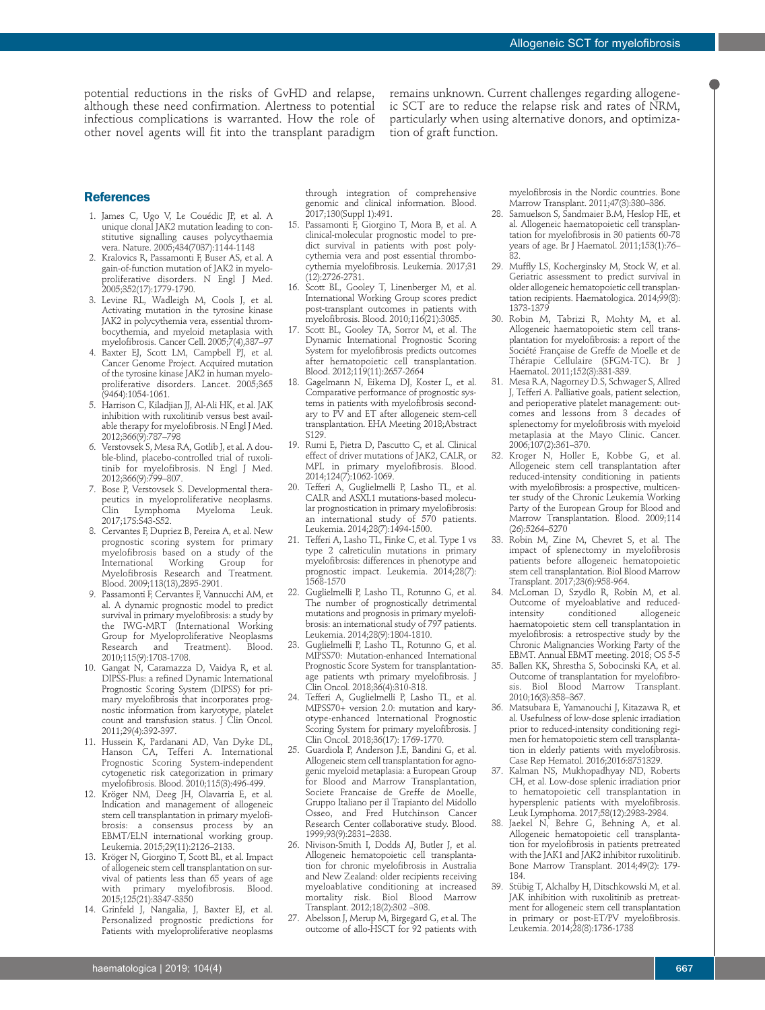potential reductions in the risks of GvHD and relapse, although these need confirmation. Alertness to potential infectious complications is warranted. How the role of other novel agents will fit into the transplant paradigm remains unknown. Current challenges regarding allogeneic SCT are to reduce the relapse risk and rates of NRM, particularly when using alternative donors, and optimization of graft function.

## **References**

- 1. James C, Ugo V, Le Couédic JP, et al. A unique clonal JAK2 mutation leading to constitutive signalling causes polycythaemia vera. Nature. 2005;434(7037):1144-1148
- 2. Kralovics R, Passamonti F, Buser AS, et al. A gain-of-function mutation of JAK2 in myeloproliferative disorders. N Engl J Med. 2005;352(17):1779-1790.
- 3. Levine RL, Wadleigh M, Cools J, et al. Activating mutation in the tyrosine kinase JAK2 in polycythemia vera, essential thrombocythemia, and myeloid metaplasia with myelofibrosis. Cancer Cell. 2005;7(4),387–97
- 4. Baxter EJ, Scott LM, Campbell PJ, et al. Cancer Genome Project. Acquired mutation of the tyrosine kinase JAK2 in human myeloproliferative disorders. Lancet. 2005;365 (9464):1054-1061.
- 5. Harrison C, Kiladjian JJ, Al-Ali HK, et al. JAK inhibition with ruxolitinib versus best available therapy for myelofibrosis. N Engl J Med. 2012;366(9):787–798
- 6. Verstovsek S, Mesa RA, Gotlib J, et al. A double-blind, placebo-controlled trial of ruxolitinib for myelofibrosis. N Engl J Med. 2012;366(9):799–807.
- 7. Bose P, Verstovsek S. Developmental therapeutics in myeloproliferative neoplasms.<br>Clin Lymphoma Myeloma Leuk. Clin Lymphoma Myeloma Leuk. 2017;17S:S43-S52.
- 8. Cervantes F, Dupriez B, Pereira A, et al. New prognostic scoring system for primary myelofibrosis based on a study of the<br>International Working Group for Working Group for Myelofibrosis Research and Treatment. Blood. 2009;113(13),2895-2901.
- 9. Passamonti F, Cervantes F, Vannucchi AM, et al. A dynamic prognostic model to predict survival in primary myelofibrosis: a study by the IWG-MRT (International Working Group for Myeloproliferative Neoplasms<br>Research and Treatment). Blood. Research and Treatment). 2010;115(9):1703-1708.
- 10. Gangat N, Caramazza D, Vaidya R, et al. DIPSS-Plus: a refined Dynamic International Prognostic Scoring System (DIPSS) for primary myelofibrosis that incorporates prognostic information from karyotype, platelet count and transfusion status. J Clin Oncol. 2011;29(4):392-397.
- 11. Hussein K, Pardanani AD, Van Dyke DL, Hanson CA, Tefferi A. International Prognostic Scoring System-independent cytogenetic risk categorization in primary myelofibrosis. Blood. 2010;115(3):496-499.
- 12. Kröger NM, Deeg JH, Olavarria E, et al. Indication and management of allogeneic stem cell transplantation in primary myelofibrosis: a consensus process by an EBMT/ELN international working group. Leukemia. 2015;29(11):2126–2133.
- 13. Kröger N, Giorgino T, Scott BL, et al. Impact of allogeneic stem cell transplantation on survival of patients less than 65 years of age with primary myelofibrosis. Blood. 2015;125(21):3347-3350
- 14. Grinfeld J, Nangalia, J, Baxter EJ, et al. Personalized prognostic predictions for Patients with myeloproliferative neoplasms

through integration of comprehensive genomic and clinical information. Blood. 2017;130(Suppl 1):491.

- 15. Passamonti F, Giorgino T, Mora B, et al. A clinical-molecular prognostic model to predict survival in patients with post polycythemia vera and post essential thrombocythemia myelofibrosis. Leukemia. 2017;31 (12):2726-2731.
- 16. Scott BL, Gooley T, Linenberger M, et al. International Working Group scores predict post-transplant outcomes in patients with myelofibrosis. Blood. 2010;116(21):3085.
- Scott BL, Gooley TA, Sorror M, et al. The Dynamic International Prognostic Scoring System for myelofibrosis predicts outcomes after hematopoietic cell transplantation. Blood. 2012;119(11):2657-2664
- 18. Gagelmann N, Eikema DJ, Koster L, et al. Comparative performance of prognostic systems in patients with myelofibrosis secondary to PV and ET after allogeneic stem-cell transplantation. EHA Meeting 2018;Abstract S129.
- 19. Rumi E, Pietra D, Pascutto C, et al. Clinical effect of driver mutations of JAK2, CALR, or MPL in primary myelofibrosis. Blood. 2014;124(7):1062-1069.
- 20. Tefferi A, Guglielmelli P, Lasho TL, et al. CALR and ASXL1 mutations-based molecular prognostication in primary myelofibrosis: an international study of 570 patients. Leukemia. 2014;28(7):1494-1500.
- 21. Tefferi A, Lasho TL, Finke C, et al. Type 1 vs type 2 calreticulin mutations in primary myelofibrosis: differences in phenotype and prognostic impact. Leukemia. 2014;28(7): 1568-1570
- 22. Guglielmelli P, Lasho TL, Rotunno G, et al. The number of prognostically detrimental mutations and prognosis in primary myelofibrosis: an international study of 797 patients. Leukemia. 2014;28(9):1804-1810.
- 23. Guglielmelli P, Lasho TL, Rotunno G, et al. MIPSS70: Mutation-enhanced International Prognostic Score System for transplantationage patients wth primary myelofibrosis. J Clin Oncol. 2018;36(4):310-318.
- 24. Tefferi A, Guglielmelli P, Lasho TL, et al. MIPSS70+ version 2.0: mutation and karyotype-enhanced International Prognostic Scoring System for primary myelofibrosis. J Clin Oncol. 2018;36(17): 1769-1770.
- 25. Guardiola P, Anderson J.E, Bandini G, et al. Allogeneic stem cell transplantation for agnogenic myeloid metaplasia: a European Group for Blood and Marrow Transplantation, Societe Francaise de Greffe de Moelle, Gruppo Italiano per il Trapianto del Midollo Osseo, and Fred Hutchinson Cancer Research Center collaborative study. Blood. 1999;93(9):2831–2838.
- 26. Nivison-Smith I, Dodds AJ, Butler J, et al. Allogeneic hematopoietic cell transplantation for chronic myelofibrosis in Australia and New Zealand: older recipients receiving myeloablative conditioning at increased mortality risk. Biol Blood Marrow Transplant. 2012;18(2):302 –308.
- 27. Abelsson J, Merup M, Birgegard G, et al. The outcome of allo-HSCT for 92 patients with

myelofibrosis in the Nordic countries. Bone Marrow Transplant. 2011;47(3):380–386.

- 28. Samuelson S, Sandmaier B.M, Heslop HE, et al. Allogeneic haematopoietic cell transplantation for myelofibrosis in 30 patients 60-78 years of age. Br J Haematol. 2011;153(1):76– 82.
- 29. Muffly LS, Kocherginsky M, Stock W, et al. Geriatric assessment to predict survival in older allogeneic hematopoietic cell transplantation recipients. Haematologica. 2014;99(8): 1373-1379
- 30. Robin M, Tabrizi R, Mohty M, et al. Allogeneic haematopoietic stem cell transplantation for myelofibrosis: a report of the Société Française de Greffe de Moelle et de Thérapie Cellulaire (SFGM-TC). Br J Haematol. 2011;152(3):331-339.
- 31. Mesa R.A, Nagorney D.S, Schwager S, Allred J, Tefferi A. Palliative goals, patient selection, and perioperative platelet management: outcomes and lessons from 3 decades of splenectomy for myelofibrosis with myeloid metaplasia at the Mayo Clinic. Cancer. 2006;107(2):361–370.
- 32. Kroger N, Holler E, Kobbe G, et al. Allogeneic stem cell transplantation after reduced-intensity conditioning in patients with myelofibrosis: a prospective, multicenter study of the Chronic Leukemia Working Party of the European Group for Blood and Marrow Transplantation. Blood. 2009;114 (26):5264–5270
- 33. Robin M, Zine M, Chevret S, et al. The impact of splenectomy in myelofibrosis patients before allogeneic hematopoietic stem cell transplantation. Biol Blood Marrow Transplant. 2017;23(6):958-964.
- 34. McLornan D, Szydlo R, Robin M, et al. Outcome of myeloablative and reduced-<br>intensity conditioned allogeneic conditioned haematopoietic stem cell transplantation in myelofibrosis: a retrospective study by the Chronic Malignancies Working Party of the EBMT. Annual EBMT meeting. 2018; OS 5-5
- 35. Ballen KK, Shrestha S, Sobocinski KA, et al. Outcome of transplantation for myelofibrosis. Biol Blood Marrow Transplant. 2010;16(3):358–367.
- 36. Matsubara E, Yamanouchi J, Kitazawa R, et al. Usefulness of low-dose splenic irradiation prior to reduced-intensity conditioning regimen for hematopoietic stem cell transplantation in elderly patients with myelofibrosis. Case Rep Hematol. 2016;2016:8751329.
- 37. Kalman NS, Mukhopadhyay ND, Roberts CH, et al. Low-dose splenic irradiation prior to hematopoietic cell transplantation in hypersplenic patients with myelofibrosis. Leuk Lymphoma. 2017;58(12):2983-2984.
- 38. Jaekel N, Behre G, Behning A, et al. Allogeneic hematopoietic cell transplantation for myelofibrosis in patients pretreated with the JAK1 and JAK2 inhibitor ruxolitinib. Bone Marrow Transplant. 2014;49(2): 179- 184.
- 39. Stübig T, Alchalby H, Ditschkowski M, et al. JAK inhibition with ruxolitinib as pretreatment for allogeneic stem cell transplantation in primary or post-ET/PV myelofibrosis. Leukemia. 2014;28(8):1736-1738